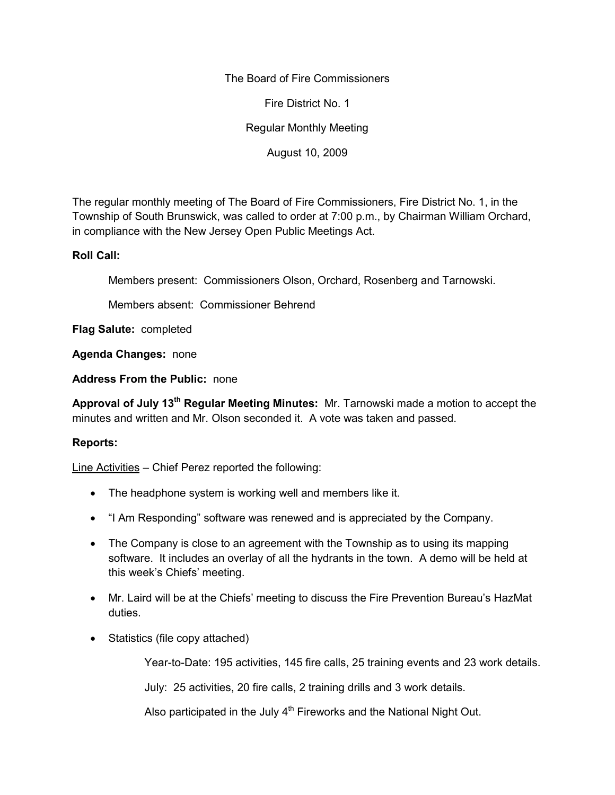The Board of Fire Commissioners

Fire District No. 1

Regular Monthly Meeting

August 10, 2009

The regular monthly meeting of The Board of Fire Commissioners, Fire District No. 1, in the Township of South Brunswick, was called to order at 7:00 p.m., by Chairman William Orchard, in compliance with the New Jersey Open Public Meetings Act.

## **Roll Call:**

Members present: Commissioners Olson, Orchard, Rosenberg and Tarnowski.

Members absent: Commissioner Behrend

**Flag Salute:** completed

**Agenda Changes:** none

**Address From the Public:** none

**Approval of July 13th Regular Meeting Minutes:** Mr. Tarnowski made a motion to accept the minutes and written and Mr. Olson seconded it. A vote was taken and passed.

# **Reports:**

Line Activities – Chief Perez reported the following:

- The headphone system is working well and members like it.
- "I Am Responding" software was renewed and is appreciated by the Company.
- The Company is close to an agreement with the Township as to using its mapping software. It includes an overlay of all the hydrants in the town. A demo will be held at this week's Chiefs' meeting.
- Mr. Laird will be at the Chiefs' meeting to discuss the Fire Prevention Bureau's HazMat duties.
- Statistics (file copy attached)

Year-to-Date: 195 activities, 145 fire calls, 25 training events and 23 work details.

July: 25 activities, 20 fire calls, 2 training drills and 3 work details.

Also participated in the July  $4<sup>th</sup>$  Fireworks and the National Night Out.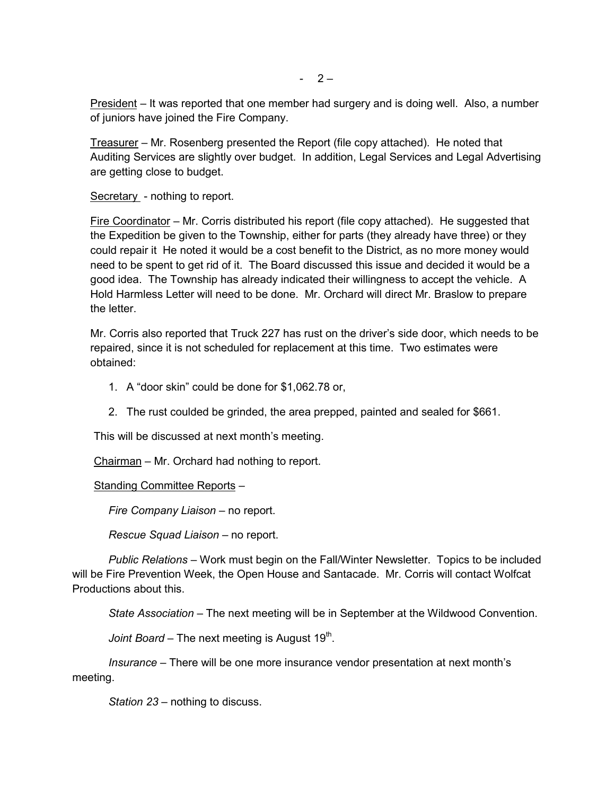President – It was reported that one member had surgery and is doing well. Also, a number of juniors have joined the Fire Company.

Treasurer – Mr. Rosenberg presented the Report (file copy attached). He noted that Auditing Services are slightly over budget. In addition, Legal Services and Legal Advertising are getting close to budget.

Secretary - nothing to report.

Fire Coordinator – Mr. Corris distributed his report (file copy attached). He suggested that the Expedition be given to the Township, either for parts (they already have three) or they could repair it He noted it would be a cost benefit to the District, as no more money would need to be spent to get rid of it. The Board discussed this issue and decided it would be a good idea. The Township has already indicated their willingness to accept the vehicle. A Hold Harmless Letter will need to be done. Mr. Orchard will direct Mr. Braslow to prepare the letter

Mr. Corris also reported that Truck 227 has rust on the driver's side door, which needs to be repaired, since it is not scheduled for replacement at this time. Two estimates were obtained:

- 1. A "door skin" could be done for \$1,062.78 or,
- 2. The rust coulded be grinded, the area prepped, painted and sealed for \$661.

This will be discussed at next month's meeting.

Chairman – Mr. Orchard had nothing to report.

#### Standing Committee Reports –

*Fire Company Liaison –* no report.

*Rescue Squad Liaison –* no report.

*Public Relations –* Work must begin on the Fall/Winter Newsletter. Topics to be included will be Fire Prevention Week, the Open House and Santacade. Mr. Corris will contact Wolfcat Productions about this.

*State Association –* The next meeting will be in September at the Wildwood Convention.

*Joint Board –* The next meeting is August 19<sup>th</sup>.

*Insurance –* There will be one more insurance vendor presentation at next month's meeting.

*Station 23 –* nothing to discuss.